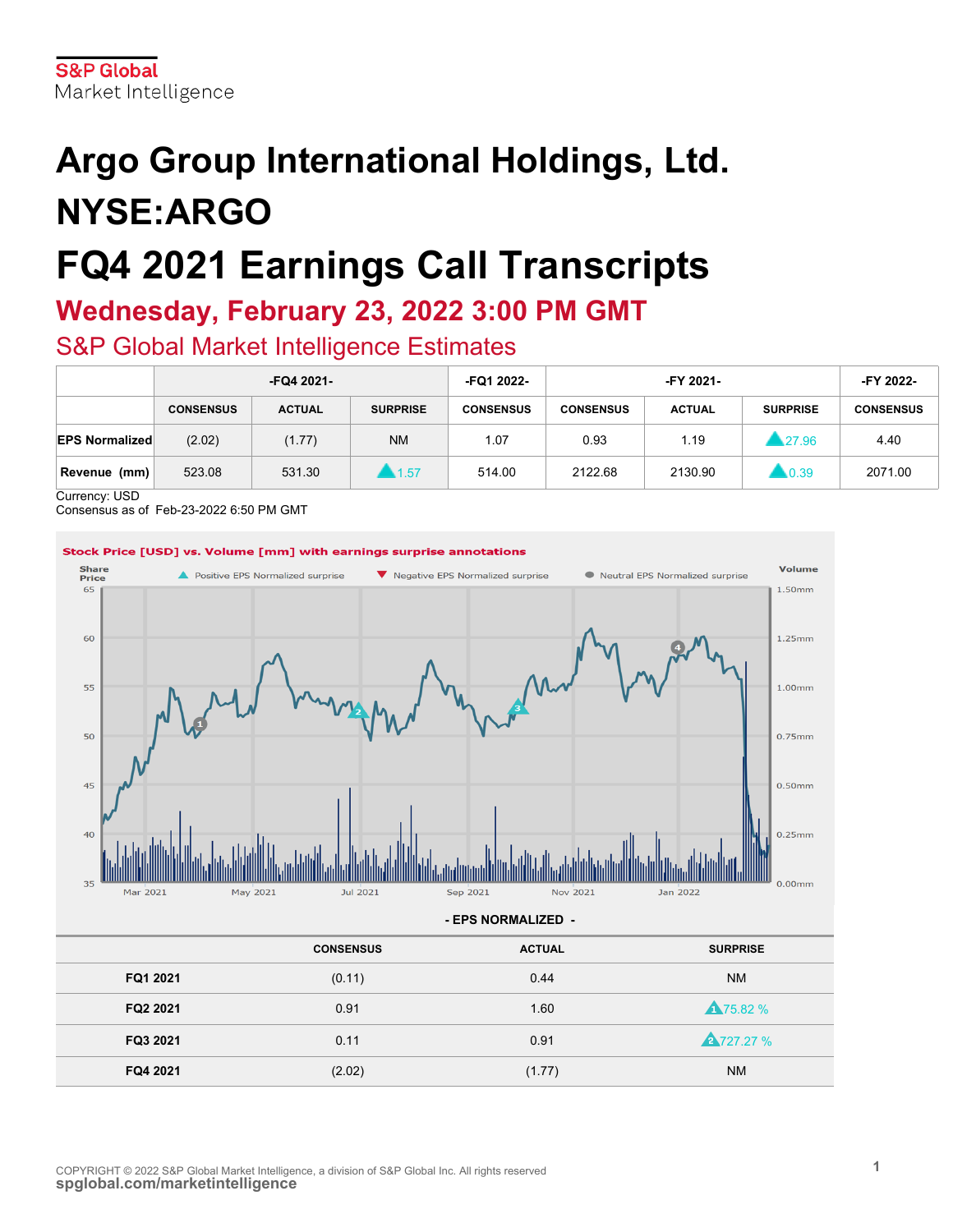# **Argo Group International Holdings, Ltd. NYSE:ARGO FQ4 2021 Earnings Call Transcripts**

# **Wednesday, February 23, 2022 3:00 PM GMT**

S&P Global Market Intelligence Estimates

|                         | -FQ4 2021-       |               |                       | -FQ1 2022-       | -FY 2021-        |               |                     | -FY 2022-        |
|-------------------------|------------------|---------------|-----------------------|------------------|------------------|---------------|---------------------|------------------|
|                         | <b>CONSENSUS</b> | <b>ACTUAL</b> | <b>SURPRISE</b>       | <b>CONSENSUS</b> | <b>CONSENSUS</b> | <b>ACTUAL</b> | <b>SURPRISE</b>     | <b>CONSENSUS</b> |
| <b>EPS Normalized</b>   | (2.02)           | (1.77)        | <b>NM</b>             | 1.07             | 0.93             | 1.19          | 1.27.96             | 4.40             |
| Revenue (mm)<br>.<br>__ | 523.08           | 531.30        | $\blacktriangle$ 1.57 | 514.00           | 2122.68          | 2130.90       | $\blacksquare$ 0.39 | 2071.00          |

Currency: USD

Consensus as of Feb-23-2022 6:50 PM GMT

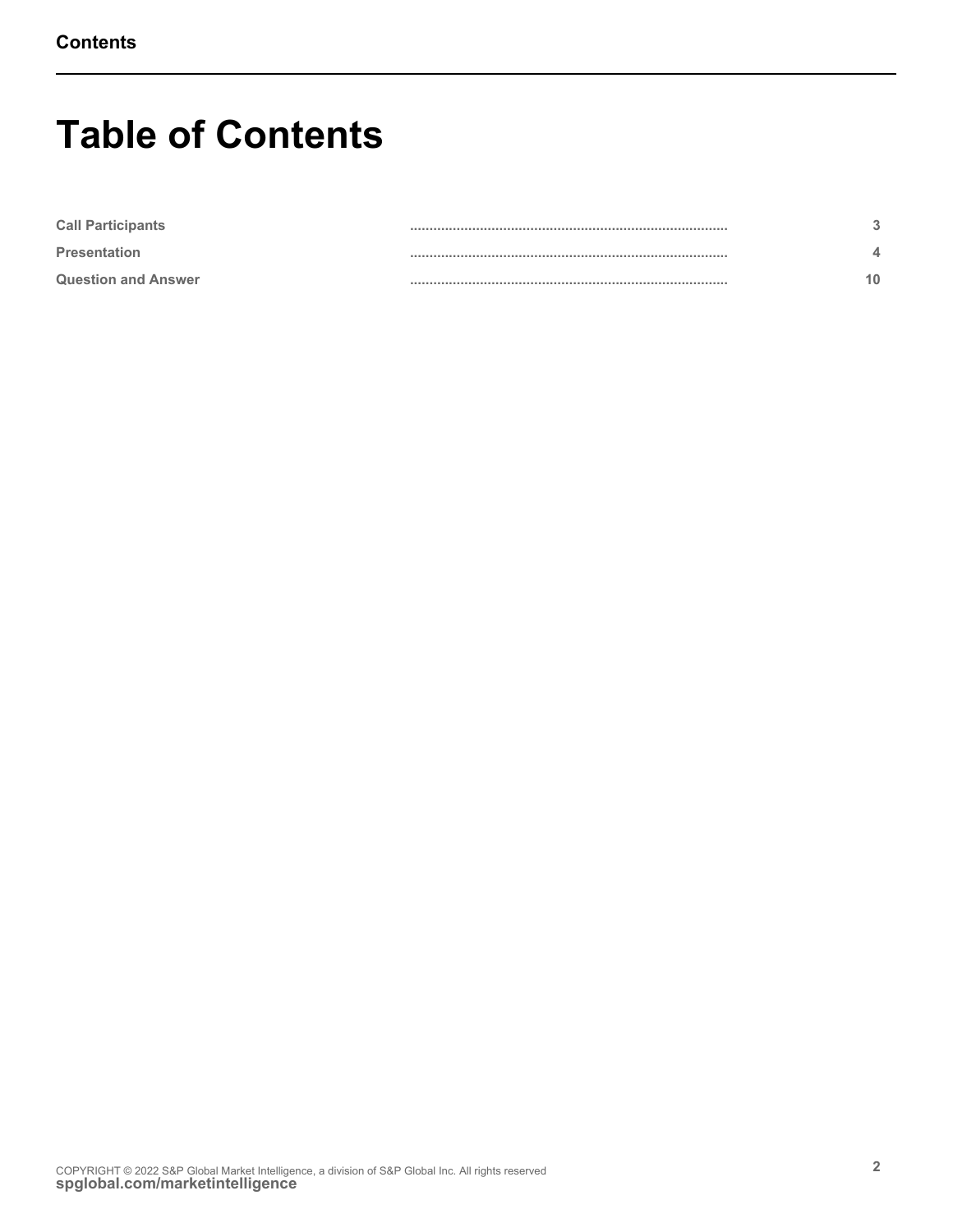# **Table of Contents**

| <b>Call Participants</b>   |  |
|----------------------------|--|
| <b>Presentation</b>        |  |
| <b>Question and Answer</b> |  |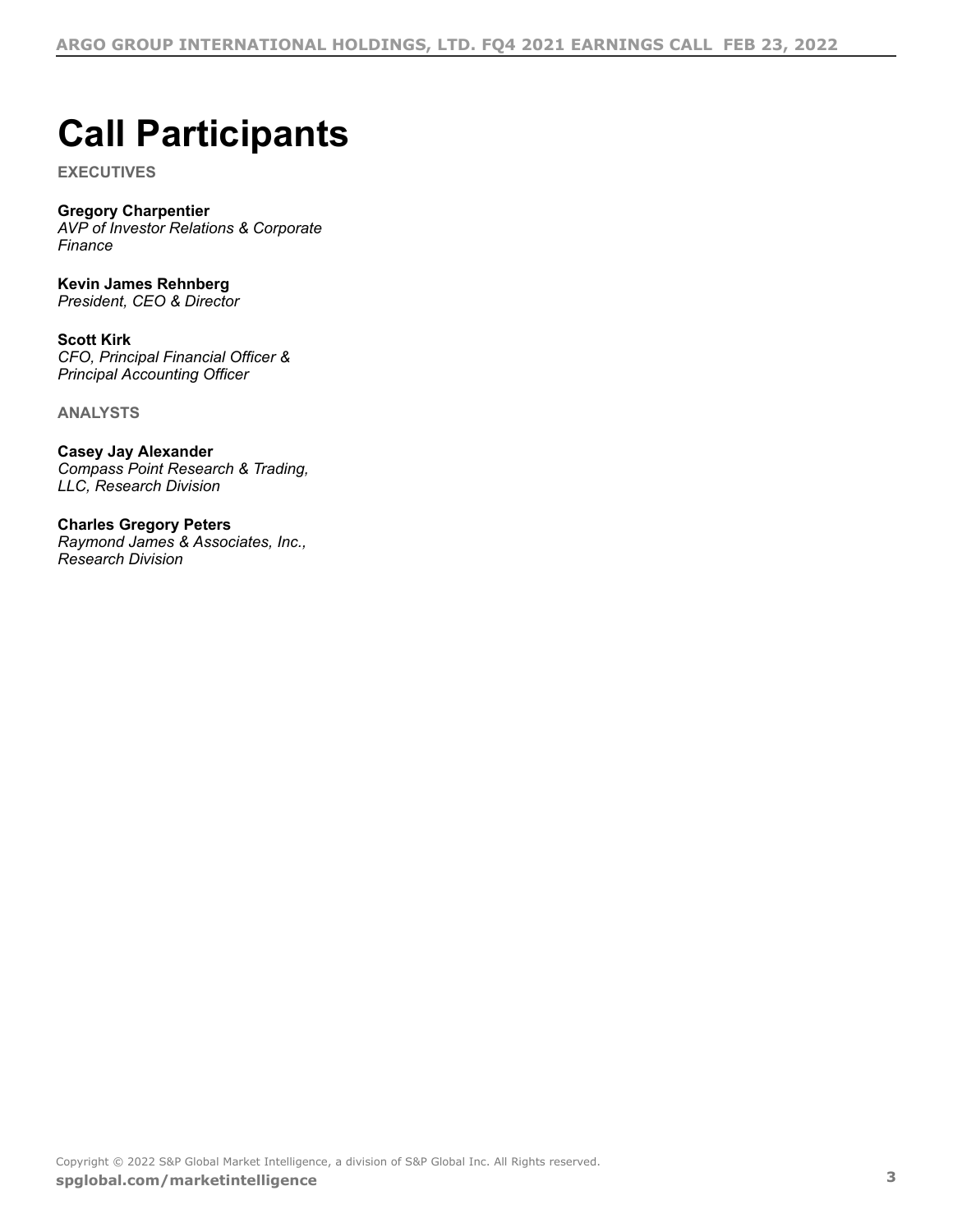# <span id="page-2-0"></span>**Call Participants**

**EXECUTIVES**

# **Gregory Charpentier**

*AVP of Investor Relations & Corporate Finance*

**Kevin James Rehnberg** *President, CEO & Director*

**Scott Kirk** *CFO, Principal Financial Officer & Principal Accounting Officer*

**ANALYSTS**

**Casey Jay Alexander** *Compass Point Research & Trading, LLC, Research Division*

**Charles Gregory Peters** *Raymond James & Associates, Inc., Research Division*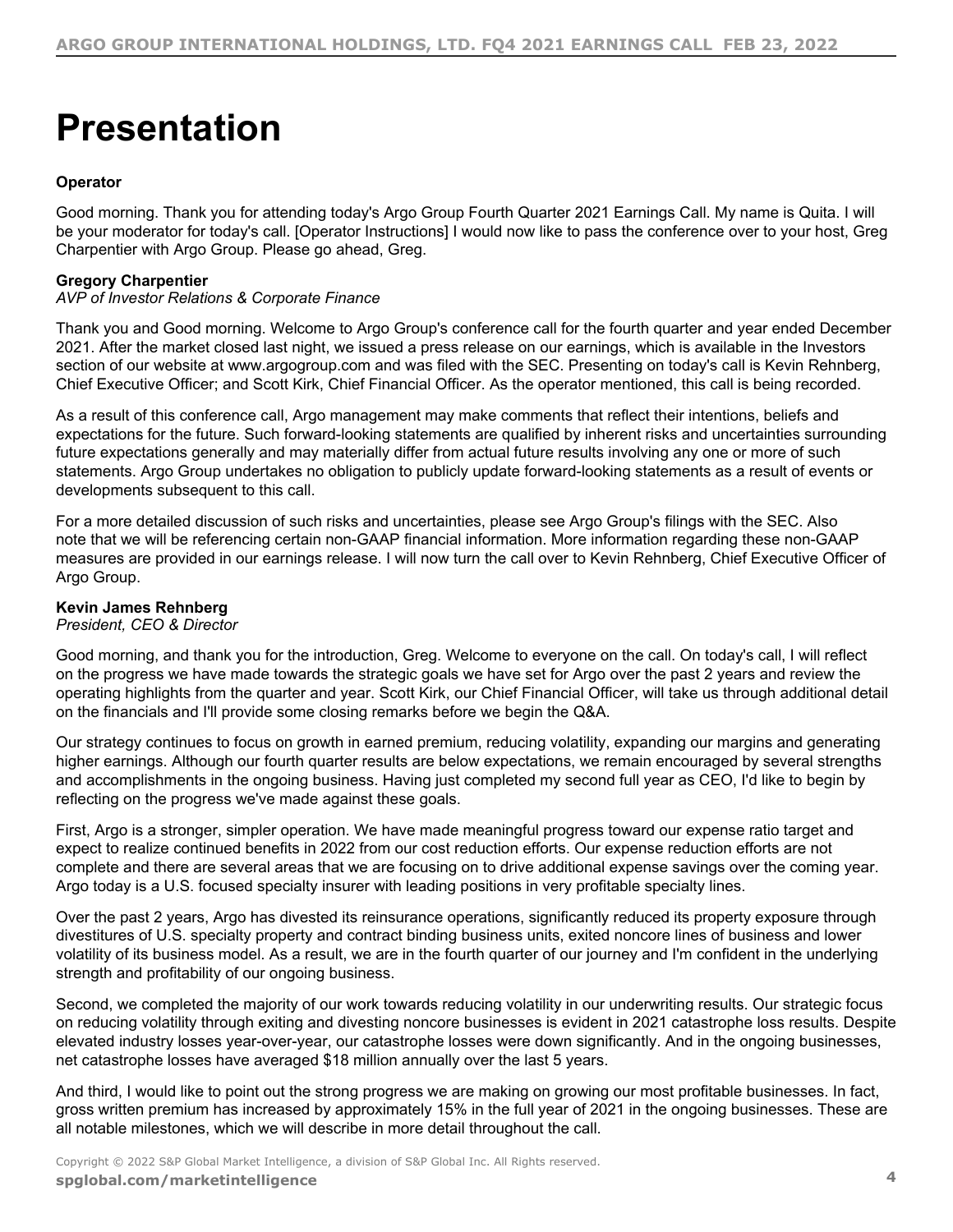# <span id="page-3-0"></span>**Presentation**

# **Operator**

Good morning. Thank you for attending today's Argo Group Fourth Quarter 2021 Earnings Call. My name is Quita. I will be your moderator for today's call. [Operator Instructions] I would now like to pass the conference over to your host, Greg Charpentier with Argo Group. Please go ahead, Greg.

# **Gregory Charpentier**

# *AVP of Investor Relations & Corporate Finance*

Thank you and Good morning. Welcome to Argo Group's conference call for the fourth quarter and year ended December 2021. After the market closed last night, we issued a press release on our earnings, which is available in the Investors section of our website at www.argogroup.com and was filed with the SEC. Presenting on today's call is Kevin Rehnberg, Chief Executive Officer; and Scott Kirk, Chief Financial Officer. As the operator mentioned, this call is being recorded.

As a result of this conference call, Argo management may make comments that reflect their intentions, beliefs and expectations for the future. Such forward-looking statements are qualified by inherent risks and uncertainties surrounding future expectations generally and may materially differ from actual future results involving any one or more of such statements. Argo Group undertakes no obligation to publicly update forward-looking statements as a result of events or developments subsequent to this call.

For a more detailed discussion of such risks and uncertainties, please see Argo Group's filings with the SEC. Also note that we will be referencing certain non-GAAP financial information. More information regarding these non-GAAP measures are provided in our earnings release. I will now turn the call over to Kevin Rehnberg, Chief Executive Officer of Argo Group.

# **Kevin James Rehnberg**

# *President, CEO & Director*

Good morning, and thank you for the introduction, Greg. Welcome to everyone on the call. On today's call, I will reflect on the progress we have made towards the strategic goals we have set for Argo over the past 2 years and review the operating highlights from the quarter and year. Scott Kirk, our Chief Financial Officer, will take us through additional detail on the financials and I'll provide some closing remarks before we begin the Q&A.

Our strategy continues to focus on growth in earned premium, reducing volatility, expanding our margins and generating higher earnings. Although our fourth quarter results are below expectations, we remain encouraged by several strengths and accomplishments in the ongoing business. Having just completed my second full year as CEO, I'd like to begin by reflecting on the progress we've made against these goals.

First, Argo is a stronger, simpler operation. We have made meaningful progress toward our expense ratio target and expect to realize continued benefits in 2022 from our cost reduction efforts. Our expense reduction efforts are not complete and there are several areas that we are focusing on to drive additional expense savings over the coming year. Argo today is a U.S. focused specialty insurer with leading positions in very profitable specialty lines.

Over the past 2 years, Argo has divested its reinsurance operations, significantly reduced its property exposure through divestitures of U.S. specialty property and contract binding business units, exited noncore lines of business and lower volatility of its business model. As a result, we are in the fourth quarter of our journey and I'm confident in the underlying strength and profitability of our ongoing business.

Second, we completed the majority of our work towards reducing volatility in our underwriting results. Our strategic focus on reducing volatility through exiting and divesting noncore businesses is evident in 2021 catastrophe loss results. Despite elevated industry losses year-over-year, our catastrophe losses were down significantly. And in the ongoing businesses, net catastrophe losses have averaged \$18 million annually over the last 5 years.

And third, I would like to point out the strong progress we are making on growing our most profitable businesses. In fact, gross written premium has increased by approximately 15% in the full year of 2021 in the ongoing businesses. These are all notable milestones, which we will describe in more detail throughout the call.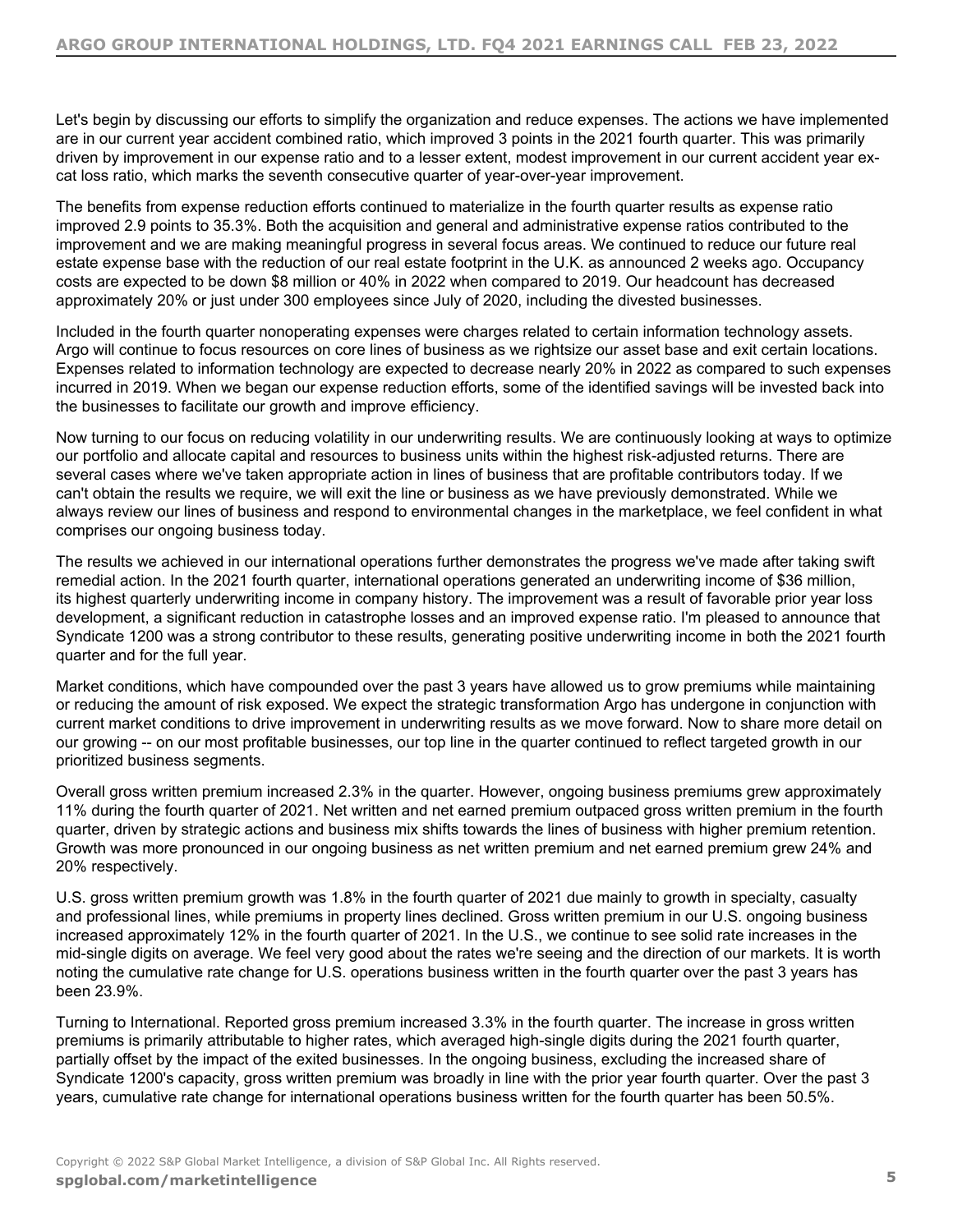Let's begin by discussing our efforts to simplify the organization and reduce expenses. The actions we have implemented are in our current year accident combined ratio, which improved 3 points in the 2021 fourth quarter. This was primarily driven by improvement in our expense ratio and to a lesser extent, modest improvement in our current accident year excat loss ratio, which marks the seventh consecutive quarter of year-over-year improvement.

The benefits from expense reduction efforts continued to materialize in the fourth quarter results as expense ratio improved 2.9 points to 35.3%. Both the acquisition and general and administrative expense ratios contributed to the improvement and we are making meaningful progress in several focus areas. We continued to reduce our future real estate expense base with the reduction of our real estate footprint in the U.K. as announced 2 weeks ago. Occupancy costs are expected to be down \$8 million or 40% in 2022 when compared to 2019. Our headcount has decreased approximately 20% or just under 300 employees since July of 2020, including the divested businesses.

Included in the fourth quarter nonoperating expenses were charges related to certain information technology assets. Argo will continue to focus resources on core lines of business as we rightsize our asset base and exit certain locations. Expenses related to information technology are expected to decrease nearly 20% in 2022 as compared to such expenses incurred in 2019. When we began our expense reduction efforts, some of the identified savings will be invested back into the businesses to facilitate our growth and improve efficiency.

Now turning to our focus on reducing volatility in our underwriting results. We are continuously looking at ways to optimize our portfolio and allocate capital and resources to business units within the highest risk-adjusted returns. There are several cases where we've taken appropriate action in lines of business that are profitable contributors today. If we can't obtain the results we require, we will exit the line or business as we have previously demonstrated. While we always review our lines of business and respond to environmental changes in the marketplace, we feel confident in what comprises our ongoing business today.

The results we achieved in our international operations further demonstrates the progress we've made after taking swift remedial action. In the 2021 fourth quarter, international operations generated an underwriting income of \$36 million, its highest quarterly underwriting income in company history. The improvement was a result of favorable prior year loss development, a significant reduction in catastrophe losses and an improved expense ratio. I'm pleased to announce that Syndicate 1200 was a strong contributor to these results, generating positive underwriting income in both the 2021 fourth quarter and for the full year.

Market conditions, which have compounded over the past 3 years have allowed us to grow premiums while maintaining or reducing the amount of risk exposed. We expect the strategic transformation Argo has undergone in conjunction with current market conditions to drive improvement in underwriting results as we move forward. Now to share more detail on our growing -- on our most profitable businesses, our top line in the quarter continued to reflect targeted growth in our prioritized business segments.

Overall gross written premium increased 2.3% in the quarter. However, ongoing business premiums grew approximately 11% during the fourth quarter of 2021. Net written and net earned premium outpaced gross written premium in the fourth quarter, driven by strategic actions and business mix shifts towards the lines of business with higher premium retention. Growth was more pronounced in our ongoing business as net written premium and net earned premium grew 24% and 20% respectively.

U.S. gross written premium growth was 1.8% in the fourth quarter of 2021 due mainly to growth in specialty, casualty and professional lines, while premiums in property lines declined. Gross written premium in our U.S. ongoing business increased approximately 12% in the fourth quarter of 2021. In the U.S., we continue to see solid rate increases in the mid-single digits on average. We feel very good about the rates we're seeing and the direction of our markets. It is worth noting the cumulative rate change for U.S. operations business written in the fourth quarter over the past 3 years has been 23.9%.

Turning to International. Reported gross premium increased 3.3% in the fourth quarter. The increase in gross written premiums is primarily attributable to higher rates, which averaged high-single digits during the 2021 fourth quarter, partially offset by the impact of the exited businesses. In the ongoing business, excluding the increased share of Syndicate 1200's capacity, gross written premium was broadly in line with the prior year fourth quarter. Over the past 3 years, cumulative rate change for international operations business written for the fourth quarter has been 50.5%.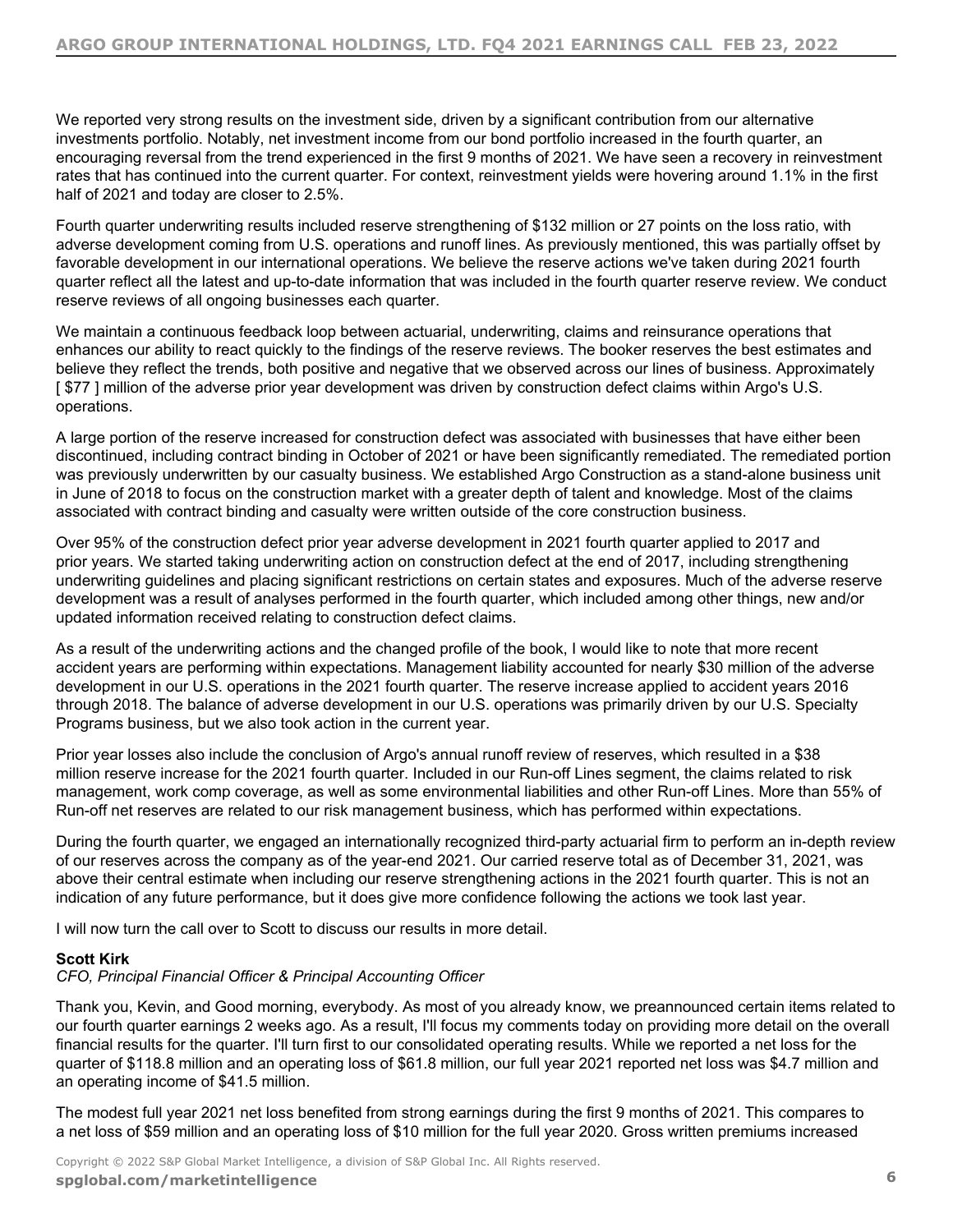We reported very strong results on the investment side, driven by a significant contribution from our alternative investments portfolio. Notably, net investment income from our bond portfolio increased in the fourth quarter, an encouraging reversal from the trend experienced in the first 9 months of 2021. We have seen a recovery in reinvestment rates that has continued into the current quarter. For context, reinvestment yields were hovering around 1.1% in the first half of 2021 and today are closer to 2.5%.

Fourth quarter underwriting results included reserve strengthening of \$132 million or 27 points on the loss ratio, with adverse development coming from U.S. operations and runoff lines. As previously mentioned, this was partially offset by favorable development in our international operations. We believe the reserve actions we've taken during 2021 fourth quarter reflect all the latest and up-to-date information that was included in the fourth quarter reserve review. We conduct reserve reviews of all ongoing businesses each quarter.

We maintain a continuous feedback loop between actuarial, underwriting, claims and reinsurance operations that enhances our ability to react quickly to the findings of the reserve reviews. The booker reserves the best estimates and believe they reflect the trends, both positive and negative that we observed across our lines of business. Approximately [\$77] million of the adverse prior year development was driven by construction defect claims within Argo's U.S. operations.

A large portion of the reserve increased for construction defect was associated with businesses that have either been discontinued, including contract binding in October of 2021 or have been significantly remediated. The remediated portion was previously underwritten by our casualty business. We established Argo Construction as a stand-alone business unit in June of 2018 to focus on the construction market with a greater depth of talent and knowledge. Most of the claims associated with contract binding and casualty were written outside of the core construction business.

Over 95% of the construction defect prior year adverse development in 2021 fourth quarter applied to 2017 and prior years. We started taking underwriting action on construction defect at the end of 2017, including strengthening underwriting guidelines and placing significant restrictions on certain states and exposures. Much of the adverse reserve development was a result of analyses performed in the fourth quarter, which included among other things, new and/or updated information received relating to construction defect claims.

As a result of the underwriting actions and the changed profile of the book, I would like to note that more recent accident years are performing within expectations. Management liability accounted for nearly \$30 million of the adverse development in our U.S. operations in the 2021 fourth quarter. The reserve increase applied to accident years 2016 through 2018. The balance of adverse development in our U.S. operations was primarily driven by our U.S. Specialty Programs business, but we also took action in the current year.

Prior year losses also include the conclusion of Argo's annual runoff review of reserves, which resulted in a \$38 million reserve increase for the 2021 fourth quarter. Included in our Run-off Lines segment, the claims related to risk management, work comp coverage, as well as some environmental liabilities and other Run-off Lines. More than 55% of Run-off net reserves are related to our risk management business, which has performed within expectations.

During the fourth quarter, we engaged an internationally recognized third-party actuarial firm to perform an in-depth review of our reserves across the company as of the year-end 2021. Our carried reserve total as of December 31, 2021, was above their central estimate when including our reserve strengthening actions in the 2021 fourth quarter. This is not an indication of any future performance, but it does give more confidence following the actions we took last year.

I will now turn the call over to Scott to discuss our results in more detail.

# **Scott Kirk**

# *CFO, Principal Financial Officer & Principal Accounting Officer*

Thank you, Kevin, and Good morning, everybody. As most of you already know, we preannounced certain items related to our fourth quarter earnings 2 weeks ago. As a result, I'll focus my comments today on providing more detail on the overall financial results for the quarter. I'll turn first to our consolidated operating results. While we reported a net loss for the quarter of \$118.8 million and an operating loss of \$61.8 million, our full year 2021 reported net loss was \$4.7 million and an operating income of \$41.5 million.

The modest full year 2021 net loss benefited from strong earnings during the first 9 months of 2021. This compares to a net loss of \$59 million and an operating loss of \$10 million for the full year 2020. Gross written premiums increased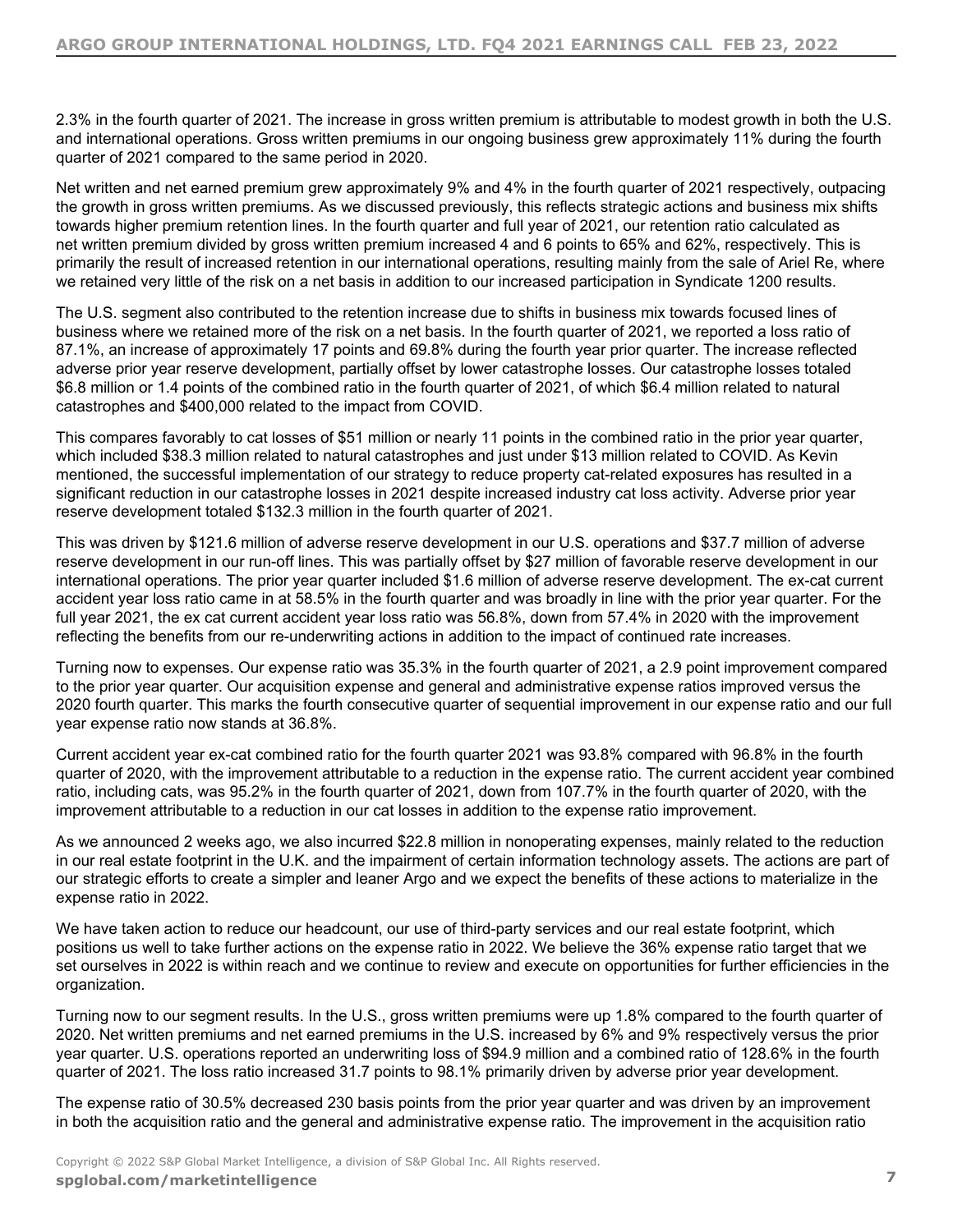2.3% in the fourth quarter of 2021. The increase in gross written premium is attributable to modest growth in both the U.S. and international operations. Gross written premiums in our ongoing business grew approximately 11% during the fourth quarter of 2021 compared to the same period in 2020.

Net written and net earned premium grew approximately 9% and 4% in the fourth quarter of 2021 respectively, outpacing the growth in gross written premiums. As we discussed previously, this reflects strategic actions and business mix shifts towards higher premium retention lines. In the fourth quarter and full year of 2021, our retention ratio calculated as net written premium divided by gross written premium increased 4 and 6 points to 65% and 62%, respectively. This is primarily the result of increased retention in our international operations, resulting mainly from the sale of Ariel Re, where we retained very little of the risk on a net basis in addition to our increased participation in Syndicate 1200 results.

The U.S. segment also contributed to the retention increase due to shifts in business mix towards focused lines of business where we retained more of the risk on a net basis. In the fourth quarter of 2021, we reported a loss ratio of 87.1%, an increase of approximately 17 points and 69.8% during the fourth year prior quarter. The increase reflected adverse prior year reserve development, partially offset by lower catastrophe losses. Our catastrophe losses totaled \$6.8 million or 1.4 points of the combined ratio in the fourth quarter of 2021, of which \$6.4 million related to natural catastrophes and \$400,000 related to the impact from COVID.

This compares favorably to cat losses of \$51 million or nearly 11 points in the combined ratio in the prior year quarter, which included \$38.3 million related to natural catastrophes and just under \$13 million related to COVID. As Kevin mentioned, the successful implementation of our strategy to reduce property cat-related exposures has resulted in a significant reduction in our catastrophe losses in 2021 despite increased industry cat loss activity. Adverse prior year reserve development totaled \$132.3 million in the fourth quarter of 2021.

This was driven by \$121.6 million of adverse reserve development in our U.S. operations and \$37.7 million of adverse reserve development in our run-off lines. This was partially offset by \$27 million of favorable reserve development in our international operations. The prior year quarter included \$1.6 million of adverse reserve development. The ex-cat current accident year loss ratio came in at 58.5% in the fourth quarter and was broadly in line with the prior year quarter. For the full year 2021, the ex cat current accident year loss ratio was 56.8%, down from 57.4% in 2020 with the improvement reflecting the benefits from our re-underwriting actions in addition to the impact of continued rate increases.

Turning now to expenses. Our expense ratio was 35.3% in the fourth quarter of 2021, a 2.9 point improvement compared to the prior year quarter. Our acquisition expense and general and administrative expense ratios improved versus the 2020 fourth quarter. This marks the fourth consecutive quarter of sequential improvement in our expense ratio and our full year expense ratio now stands at 36.8%.

Current accident year ex-cat combined ratio for the fourth quarter 2021 was 93.8% compared with 96.8% in the fourth quarter of 2020, with the improvement attributable to a reduction in the expense ratio. The current accident year combined ratio, including cats, was 95.2% in the fourth quarter of 2021, down from 107.7% in the fourth quarter of 2020, with the improvement attributable to a reduction in our cat losses in addition to the expense ratio improvement.

As we announced 2 weeks ago, we also incurred \$22.8 million in nonoperating expenses, mainly related to the reduction in our real estate footprint in the U.K. and the impairment of certain information technology assets. The actions are part of our strategic efforts to create a simpler and leaner Argo and we expect the benefits of these actions to materialize in the expense ratio in 2022.

We have taken action to reduce our headcount, our use of third-party services and our real estate footprint, which positions us well to take further actions on the expense ratio in 2022. We believe the 36% expense ratio target that we set ourselves in 2022 is within reach and we continue to review and execute on opportunities for further efficiencies in the organization.

Turning now to our segment results. In the U.S., gross written premiums were up 1.8% compared to the fourth quarter of 2020. Net written premiums and net earned premiums in the U.S. increased by 6% and 9% respectively versus the prior year quarter. U.S. operations reported an underwriting loss of \$94.9 million and a combined ratio of 128.6% in the fourth quarter of 2021. The loss ratio increased 31.7 points to 98.1% primarily driven by adverse prior year development.

The expense ratio of 30.5% decreased 230 basis points from the prior year quarter and was driven by an improvement in both the acquisition ratio and the general and administrative expense ratio. The improvement in the acquisition ratio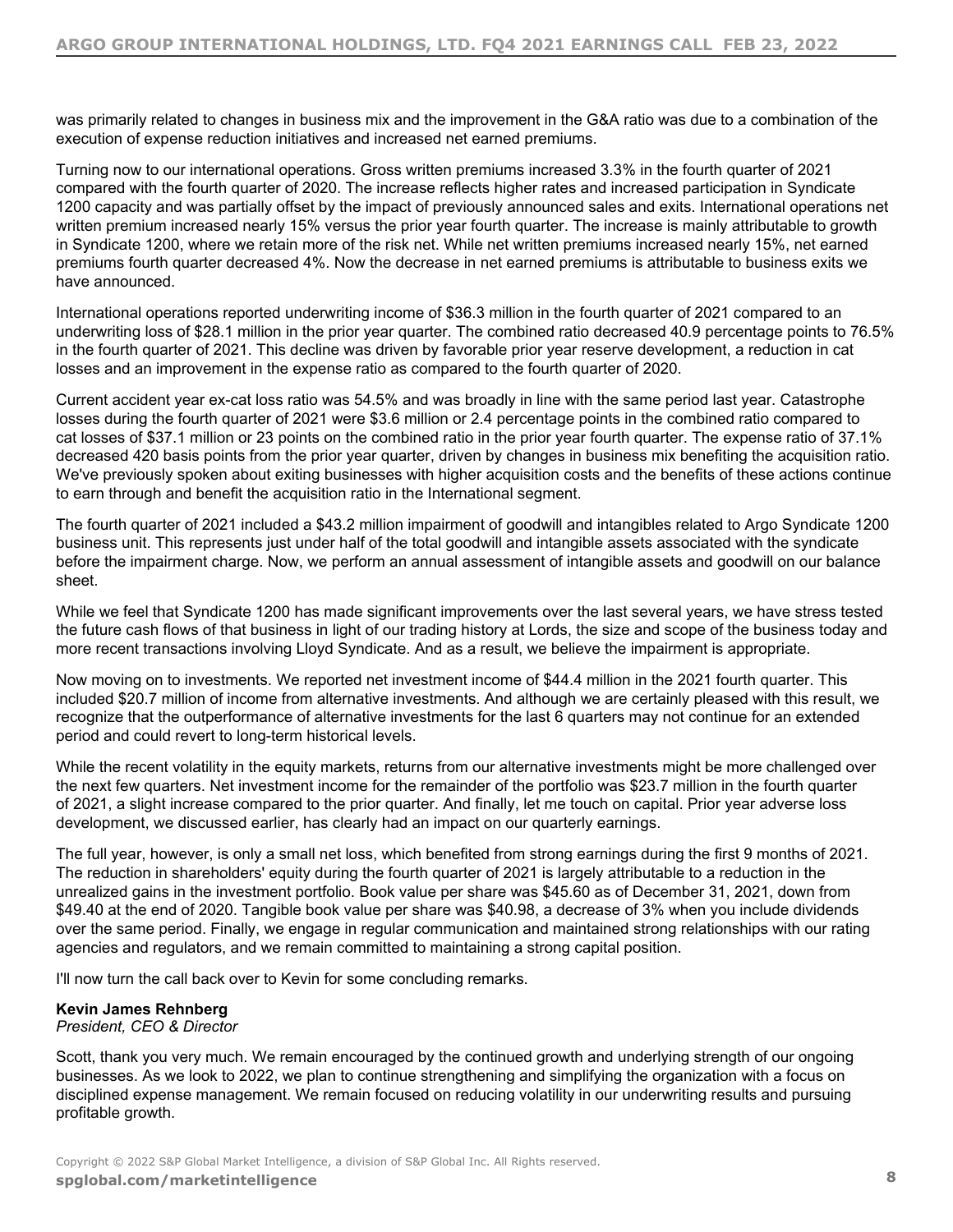was primarily related to changes in business mix and the improvement in the G&A ratio was due to a combination of the execution of expense reduction initiatives and increased net earned premiums.

Turning now to our international operations. Gross written premiums increased 3.3% in the fourth quarter of 2021 compared with the fourth quarter of 2020. The increase reflects higher rates and increased participation in Syndicate 1200 capacity and was partially offset by the impact of previously announced sales and exits. International operations net written premium increased nearly 15% versus the prior year fourth quarter. The increase is mainly attributable to growth in Syndicate 1200, where we retain more of the risk net. While net written premiums increased nearly 15%, net earned premiums fourth quarter decreased 4%. Now the decrease in net earned premiums is attributable to business exits we have announced.

International operations reported underwriting income of \$36.3 million in the fourth quarter of 2021 compared to an underwriting loss of \$28.1 million in the prior year quarter. The combined ratio decreased 40.9 percentage points to 76.5% in the fourth quarter of 2021. This decline was driven by favorable prior year reserve development, a reduction in cat losses and an improvement in the expense ratio as compared to the fourth quarter of 2020.

Current accident year ex-cat loss ratio was 54.5% and was broadly in line with the same period last year. Catastrophe losses during the fourth quarter of 2021 were \$3.6 million or 2.4 percentage points in the combined ratio compared to cat losses of \$37.1 million or 23 points on the combined ratio in the prior year fourth quarter. The expense ratio of 37.1% decreased 420 basis points from the prior year quarter, driven by changes in business mix benefiting the acquisition ratio. We've previously spoken about exiting businesses with higher acquisition costs and the benefits of these actions continue to earn through and benefit the acquisition ratio in the International segment.

The fourth quarter of 2021 included a \$43.2 million impairment of goodwill and intangibles related to Argo Syndicate 1200 business unit. This represents just under half of the total goodwill and intangible assets associated with the syndicate before the impairment charge. Now, we perform an annual assessment of intangible assets and goodwill on our balance sheet.

While we feel that Syndicate 1200 has made significant improvements over the last several years, we have stress tested the future cash flows of that business in light of our trading history at Lords, the size and scope of the business today and more recent transactions involving Lloyd Syndicate. And as a result, we believe the impairment is appropriate.

Now moving on to investments. We reported net investment income of \$44.4 million in the 2021 fourth quarter. This included \$20.7 million of income from alternative investments. And although we are certainly pleased with this result, we recognize that the outperformance of alternative investments for the last 6 quarters may not continue for an extended period and could revert to long-term historical levels.

While the recent volatility in the equity markets, returns from our alternative investments might be more challenged over the next few quarters. Net investment income for the remainder of the portfolio was \$23.7 million in the fourth quarter of 2021, a slight increase compared to the prior quarter. And finally, let me touch on capital. Prior year adverse loss development, we discussed earlier, has clearly had an impact on our quarterly earnings.

The full year, however, is only a small net loss, which benefited from strong earnings during the first 9 months of 2021. The reduction in shareholders' equity during the fourth quarter of 2021 is largely attributable to a reduction in the unrealized gains in the investment portfolio. Book value per share was \$45.60 as of December 31, 2021, down from \$49.40 at the end of 2020. Tangible book value per share was \$40.98, a decrease of 3% when you include dividends over the same period. Finally, we engage in regular communication and maintained strong relationships with our rating agencies and regulators, and we remain committed to maintaining a strong capital position.

I'll now turn the call back over to Kevin for some concluding remarks.

# **Kevin James Rehnberg**

*President, CEO & Director*

Scott, thank you very much. We remain encouraged by the continued growth and underlying strength of our ongoing businesses. As we look to 2022, we plan to continue strengthening and simplifying the organization with a focus on disciplined expense management. We remain focused on reducing volatility in our underwriting results and pursuing profitable growth.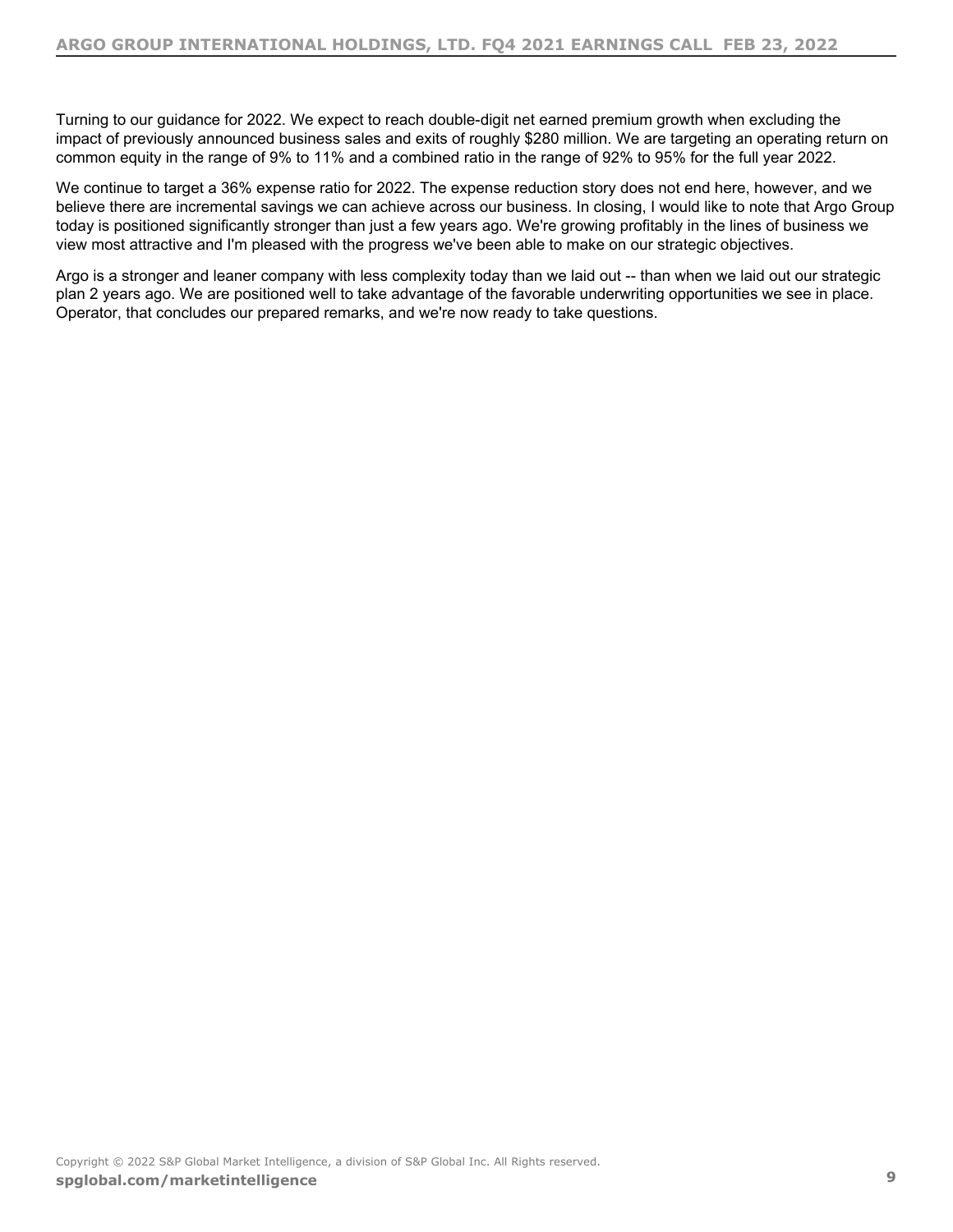Turning to our guidance for 2022. We expect to reach double-digit net earned premium growth when excluding the impact of previously announced business sales and exits of roughly \$280 million. We are targeting an operating return on common equity in the range of 9% to 11% and a combined ratio in the range of 92% to 95% for the full year 2022.

We continue to target a 36% expense ratio for 2022. The expense reduction story does not end here, however, and we believe there are incremental savings we can achieve across our business. In closing, I would like to note that Argo Group today is positioned significantly stronger than just a few years ago. We're growing profitably in the lines of business we view most attractive and I'm pleased with the progress we've been able to make on our strategic objectives.

Argo is a stronger and leaner company with less complexity today than we laid out -- than when we laid out our strategic plan 2 years ago. We are positioned well to take advantage of the favorable underwriting opportunities we see in place. Operator, that concludes our prepared remarks, and we're now ready to take questions.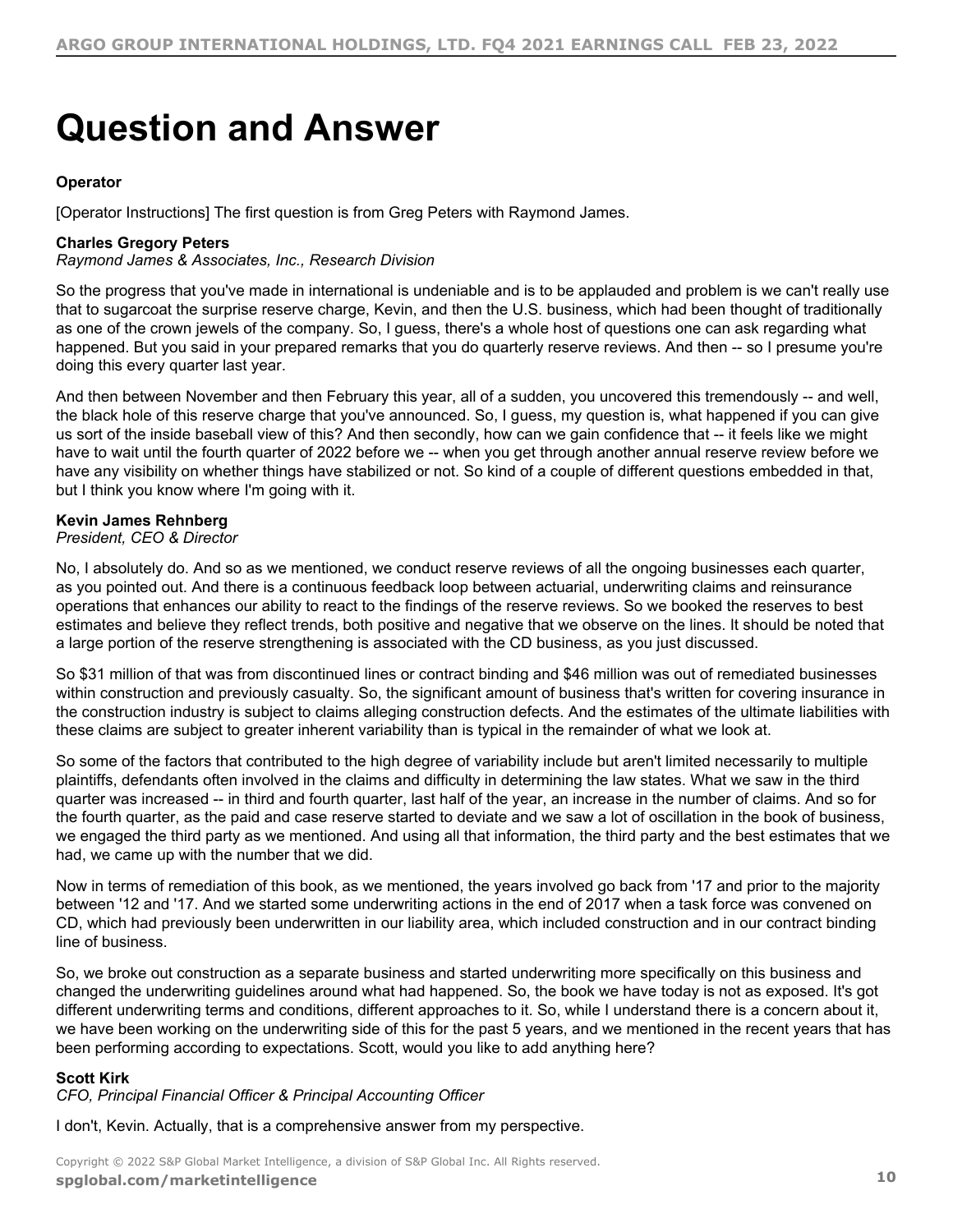# <span id="page-9-0"></span>**Question and Answer**

# **Operator**

[Operator Instructions] The first question is from Greg Peters with Raymond James.

# **Charles Gregory Peters**

*Raymond James & Associates, Inc., Research Division*

So the progress that you've made in international is undeniable and is to be applauded and problem is we can't really use that to sugarcoat the surprise reserve charge, Kevin, and then the U.S. business, which had been thought of traditionally as one of the crown jewels of the company. So, I guess, there's a whole host of questions one can ask regarding what happened. But you said in your prepared remarks that you do quarterly reserve reviews. And then -- so I presume you're doing this every quarter last year.

And then between November and then February this year, all of a sudden, you uncovered this tremendously -- and well, the black hole of this reserve charge that you've announced. So, I guess, my question is, what happened if you can give us sort of the inside baseball view of this? And then secondly, how can we gain confidence that -- it feels like we might have to wait until the fourth quarter of 2022 before we -- when you get through another annual reserve review before we have any visibility on whether things have stabilized or not. So kind of a couple of different questions embedded in that, but I think you know where I'm going with it.

# **Kevin James Rehnberg**

#### *President, CEO & Director*

No, I absolutely do. And so as we mentioned, we conduct reserve reviews of all the ongoing businesses each quarter, as you pointed out. And there is a continuous feedback loop between actuarial, underwriting claims and reinsurance operations that enhances our ability to react to the findings of the reserve reviews. So we booked the reserves to best estimates and believe they reflect trends, both positive and negative that we observe on the lines. It should be noted that a large portion of the reserve strengthening is associated with the CD business, as you just discussed.

So \$31 million of that was from discontinued lines or contract binding and \$46 million was out of remediated businesses within construction and previously casualty. So, the significant amount of business that's written for covering insurance in the construction industry is subject to claims alleging construction defects. And the estimates of the ultimate liabilities with these claims are subject to greater inherent variability than is typical in the remainder of what we look at.

So some of the factors that contributed to the high degree of variability include but aren't limited necessarily to multiple plaintiffs, defendants often involved in the claims and difficulty in determining the law states. What we saw in the third quarter was increased -- in third and fourth quarter, last half of the year, an increase in the number of claims. And so for the fourth quarter, as the paid and case reserve started to deviate and we saw a lot of oscillation in the book of business, we engaged the third party as we mentioned. And using all that information, the third party and the best estimates that we had, we came up with the number that we did.

Now in terms of remediation of this book, as we mentioned, the years involved go back from '17 and prior to the majority between '12 and '17. And we started some underwriting actions in the end of 2017 when a task force was convened on CD, which had previously been underwritten in our liability area, which included construction and in our contract binding line of business.

So, we broke out construction as a separate business and started underwriting more specifically on this business and changed the underwriting guidelines around what had happened. So, the book we have today is not as exposed. It's got different underwriting terms and conditions, different approaches to it. So, while I understand there is a concern about it, we have been working on the underwriting side of this for the past 5 years, and we mentioned in the recent years that has been performing according to expectations. Scott, would you like to add anything here?

# **Scott Kirk**

*CFO, Principal Financial Officer & Principal Accounting Officer*

I don't, Kevin. Actually, that is a comprehensive answer from my perspective.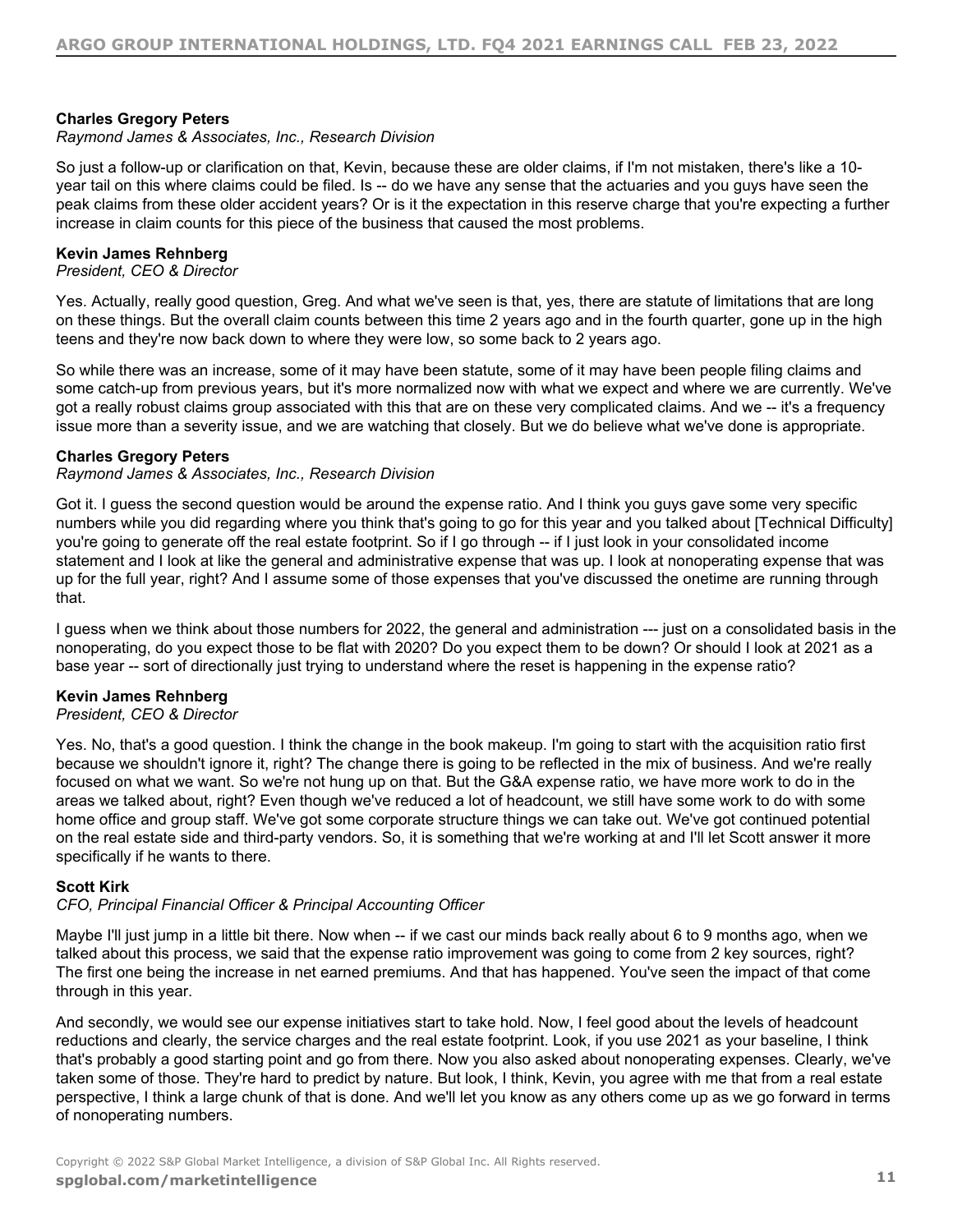# **Charles Gregory Peters**

#### *Raymond James & Associates, Inc., Research Division*

So just a follow-up or clarification on that, Kevin, because these are older claims, if I'm not mistaken, there's like a 10 year tail on this where claims could be filed. Is -- do we have any sense that the actuaries and you guys have seen the peak claims from these older accident years? Or is it the expectation in this reserve charge that you're expecting a further increase in claim counts for this piece of the business that caused the most problems.

#### **Kevin James Rehnberg**

*President, CEO & Director*

Yes. Actually, really good question, Greg. And what we've seen is that, yes, there are statute of limitations that are long on these things. But the overall claim counts between this time 2 years ago and in the fourth quarter, gone up in the high teens and they're now back down to where they were low, so some back to 2 years ago.

So while there was an increase, some of it may have been statute, some of it may have been people filing claims and some catch-up from previous years, but it's more normalized now with what we expect and where we are currently. We've got a really robust claims group associated with this that are on these very complicated claims. And we -- it's a frequency issue more than a severity issue, and we are watching that closely. But we do believe what we've done is appropriate.

# **Charles Gregory Peters**

*Raymond James & Associates, Inc., Research Division*

Got it. I guess the second question would be around the expense ratio. And I think you guys gave some very specific numbers while you did regarding where you think that's going to go for this year and you talked about [Technical Difficulty] you're going to generate off the real estate footprint. So if I go through -- if I just look in your consolidated income statement and I look at like the general and administrative expense that was up. I look at nonoperating expense that was up for the full year, right? And I assume some of those expenses that you've discussed the onetime are running through that.

I guess when we think about those numbers for 2022, the general and administration --- just on a consolidated basis in the nonoperating, do you expect those to be flat with 2020? Do you expect them to be down? Or should I look at 2021 as a base year -- sort of directionally just trying to understand where the reset is happening in the expense ratio?

# **Kevin James Rehnberg**

#### *President, CEO & Director*

Yes. No, that's a good question. I think the change in the book makeup. I'm going to start with the acquisition ratio first because we shouldn't ignore it, right? The change there is going to be reflected in the mix of business. And we're really focused on what we want. So we're not hung up on that. But the G&A expense ratio, we have more work to do in the areas we talked about, right? Even though we've reduced a lot of headcount, we still have some work to do with some home office and group staff. We've got some corporate structure things we can take out. We've got continued potential on the real estate side and third-party vendors. So, it is something that we're working at and I'll let Scott answer it more specifically if he wants to there.

# **Scott Kirk**

#### *CFO, Principal Financial Officer & Principal Accounting Officer*

Maybe I'll just jump in a little bit there. Now when -- if we cast our minds back really about 6 to 9 months ago, when we talked about this process, we said that the expense ratio improvement was going to come from 2 key sources, right? The first one being the increase in net earned premiums. And that has happened. You've seen the impact of that come through in this year.

And secondly, we would see our expense initiatives start to take hold. Now, I feel good about the levels of headcount reductions and clearly, the service charges and the real estate footprint. Look, if you use 2021 as your baseline, I think that's probably a good starting point and go from there. Now you also asked about nonoperating expenses. Clearly, we've taken some of those. They're hard to predict by nature. But look, I think, Kevin, you agree with me that from a real estate perspective, I think a large chunk of that is done. And we'll let you know as any others come up as we go forward in terms of nonoperating numbers.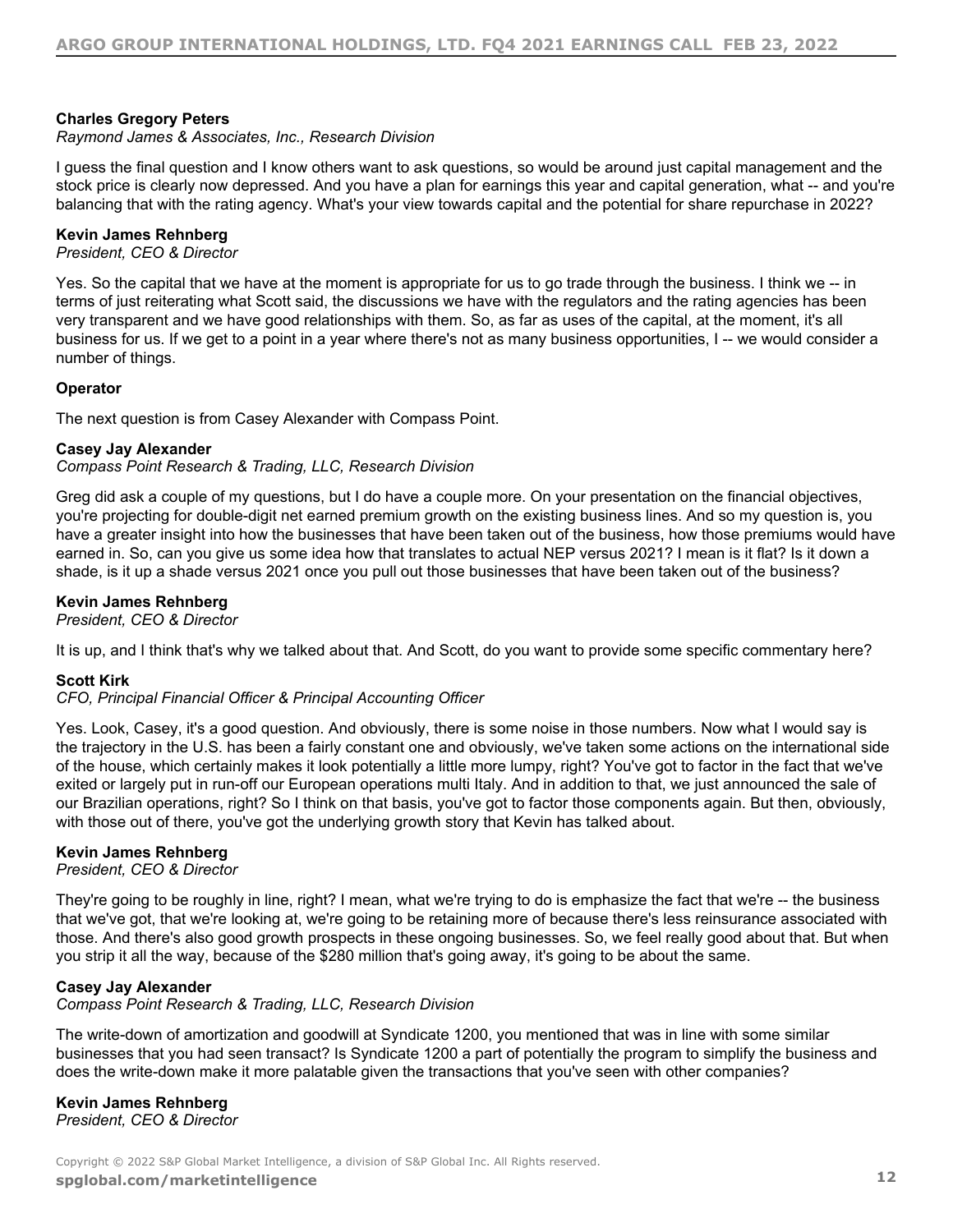# **Charles Gregory Peters**

#### *Raymond James & Associates, Inc., Research Division*

I guess the final question and I know others want to ask questions, so would be around just capital management and the stock price is clearly now depressed. And you have a plan for earnings this year and capital generation, what -- and you're balancing that with the rating agency. What's your view towards capital and the potential for share repurchase in 2022?

#### **Kevin James Rehnberg**

*President, CEO & Director*

Yes. So the capital that we have at the moment is appropriate for us to go trade through the business. I think we -- in terms of just reiterating what Scott said, the discussions we have with the regulators and the rating agencies has been very transparent and we have good relationships with them. So, as far as uses of the capital, at the moment, it's all business for us. If we get to a point in a year where there's not as many business opportunities, I -- we would consider a number of things.

#### **Operator**

The next question is from Casey Alexander with Compass Point.

#### **Casey Jay Alexander**

*Compass Point Research & Trading, LLC, Research Division*

Greg did ask a couple of my questions, but I do have a couple more. On your presentation on the financial objectives, you're projecting for double-digit net earned premium growth on the existing business lines. And so my question is, you have a greater insight into how the businesses that have been taken out of the business, how those premiums would have earned in. So, can you give us some idea how that translates to actual NEP versus 2021? I mean is it flat? Is it down a shade, is it up a shade versus 2021 once you pull out those businesses that have been taken out of the business?

#### **Kevin James Rehnberg**

*President, CEO & Director*

It is up, and I think that's why we talked about that. And Scott, do you want to provide some specific commentary here?

# **Scott Kirk**

*CFO, Principal Financial Officer & Principal Accounting Officer*

Yes. Look, Casey, it's a good question. And obviously, there is some noise in those numbers. Now what I would say is the trajectory in the U.S. has been a fairly constant one and obviously, we've taken some actions on the international side of the house, which certainly makes it look potentially a little more lumpy, right? You've got to factor in the fact that we've exited or largely put in run-off our European operations multi Italy. And in addition to that, we just announced the sale of our Brazilian operations, right? So I think on that basis, you've got to factor those components again. But then, obviously, with those out of there, you've got the underlying growth story that Kevin has talked about.

# **Kevin James Rehnberg**

*President, CEO & Director*

They're going to be roughly in line, right? I mean, what we're trying to do is emphasize the fact that we're -- the business that we've got, that we're looking at, we're going to be retaining more of because there's less reinsurance associated with those. And there's also good growth prospects in these ongoing businesses. So, we feel really good about that. But when you strip it all the way, because of the \$280 million that's going away, it's going to be about the same.

# **Casey Jay Alexander**

*Compass Point Research & Trading, LLC, Research Division*

The write-down of amortization and goodwill at Syndicate 1200, you mentioned that was in line with some similar businesses that you had seen transact? Is Syndicate 1200 a part of potentially the program to simplify the business and does the write-down make it more palatable given the transactions that you've seen with other companies?

# **Kevin James Rehnberg**

*President, CEO & Director*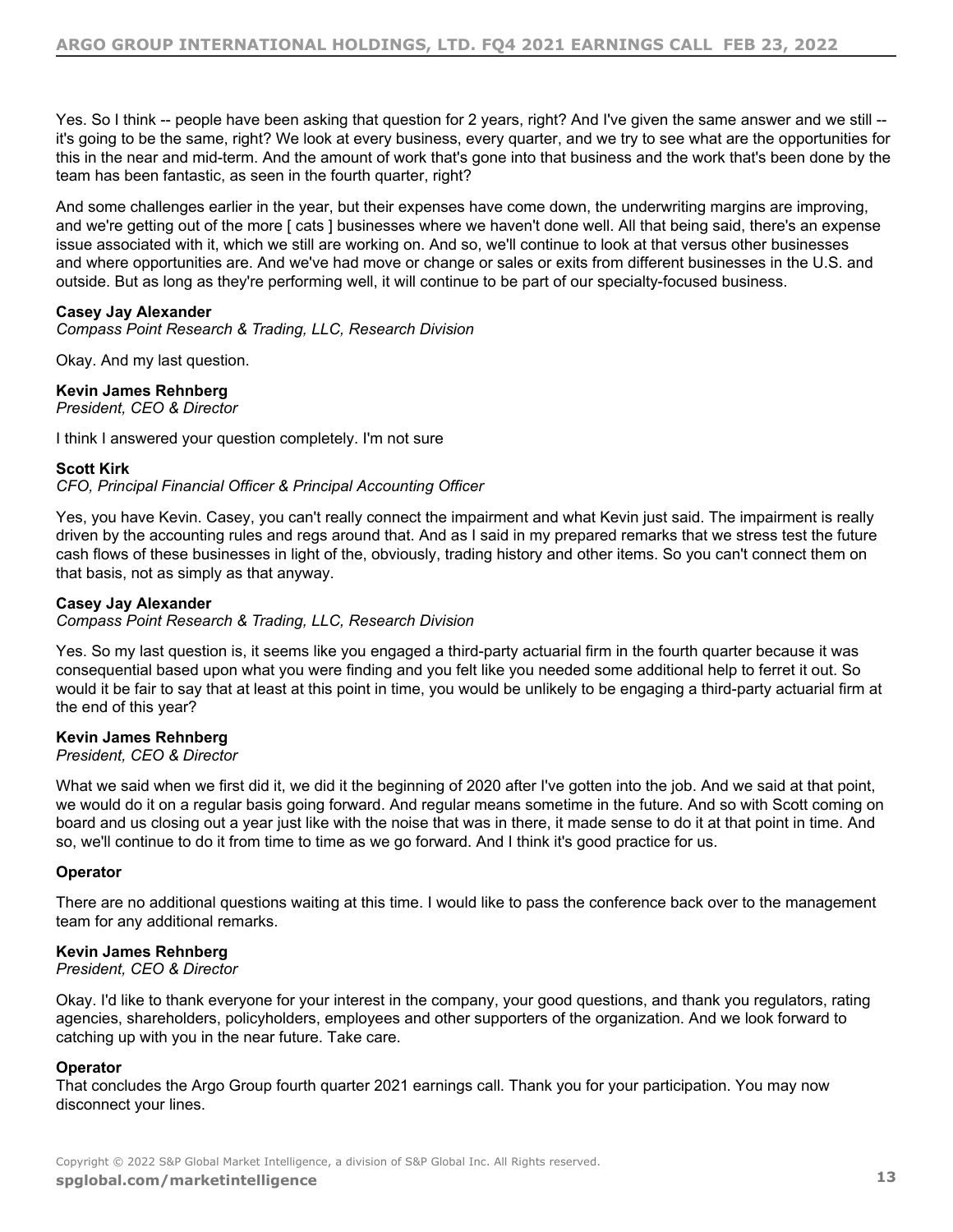Yes. So I think -- people have been asking that question for 2 years, right? And I've given the same answer and we still -it's going to be the same, right? We look at every business, every quarter, and we try to see what are the opportunities for this in the near and mid-term. And the amount of work that's gone into that business and the work that's been done by the team has been fantastic, as seen in the fourth quarter, right?

And some challenges earlier in the year, but their expenses have come down, the underwriting margins are improving, and we're getting out of the more [ cats ] businesses where we haven't done well. All that being said, there's an expense issue associated with it, which we still are working on. And so, we'll continue to look at that versus other businesses and where opportunities are. And we've had move or change or sales or exits from different businesses in the U.S. and outside. But as long as they're performing well, it will continue to be part of our specialty-focused business.

# **Casey Jay Alexander**

*Compass Point Research & Trading, LLC, Research Division*

Okay. And my last question.

**Kevin James Rehnberg**

*President, CEO & Director*

I think I answered your question completely. I'm not sure

#### **Scott Kirk**

*CFO, Principal Financial Officer & Principal Accounting Officer*

Yes, you have Kevin. Casey, you can't really connect the impairment and what Kevin just said. The impairment is really driven by the accounting rules and regs around that. And as I said in my prepared remarks that we stress test the future cash flows of these businesses in light of the, obviously, trading history and other items. So you can't connect them on that basis, not as simply as that anyway.

# **Casey Jay Alexander**

*Compass Point Research & Trading, LLC, Research Division*

Yes. So my last question is, it seems like you engaged a third-party actuarial firm in the fourth quarter because it was consequential based upon what you were finding and you felt like you needed some additional help to ferret it out. So would it be fair to say that at least at this point in time, you would be unlikely to be engaging a third-party actuarial firm at the end of this year?

# **Kevin James Rehnberg**

#### *President, CEO & Director*

What we said when we first did it, we did it the beginning of 2020 after I've gotten into the job. And we said at that point, we would do it on a regular basis going forward. And regular means sometime in the future. And so with Scott coming on board and us closing out a year just like with the noise that was in there, it made sense to do it at that point in time. And so, we'll continue to do it from time to time as we go forward. And I think it's good practice for us.

# **Operator**

There are no additional questions waiting at this time. I would like to pass the conference back over to the management team for any additional remarks.

# **Kevin James Rehnberg**

*President, CEO & Director*

Okay. I'd like to thank everyone for your interest in the company, your good questions, and thank you regulators, rating agencies, shareholders, policyholders, employees and other supporters of the organization. And we look forward to catching up with you in the near future. Take care.

#### **Operator**

That concludes the Argo Group fourth quarter 2021 earnings call. Thank you for your participation. You may now disconnect your lines.